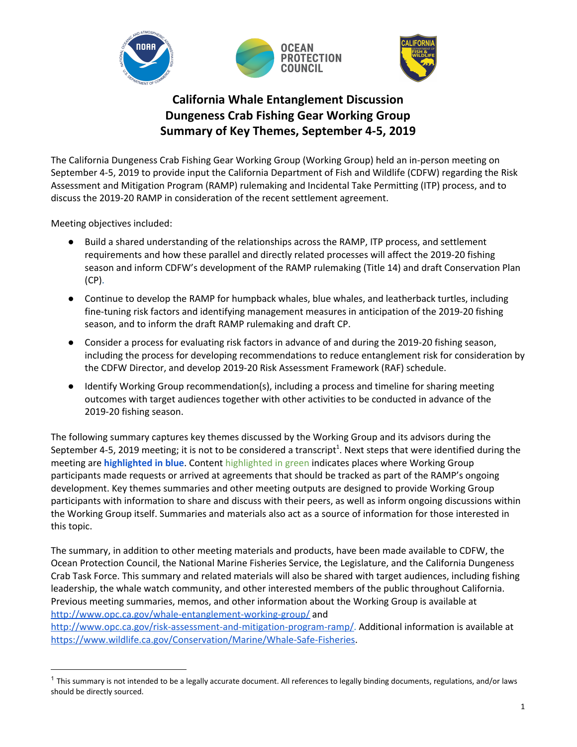

# **California Whale Entanglement Discussion Dungeness Crab Fishing Gear Working Group Summary of Key Themes, September 4-5, 2019**

The California Dungeness Crab Fishing Gear Working Group (Working Group) held an in-person meeting on September 4-5, 2019 to provide input the California Department of Fish and Wildlife (CDFW) regarding the Risk Assessment and Mitigation Program (RAMP) rulemaking and Incidental Take Permitting (ITP) process, and to discuss the 2019-20 RAMP in consideration of the recent settlement agreement.

Meeting objectives included:

- Build a shared understanding of the relationships across the RAMP, ITP process, and settlement requirements and how these parallel and directly related processes will affect the 2019-20 fishing season and inform CDFW's development of the RAMP rulemaking (Title 14) and draft Conservation Plan (CP).
- Continue to develop the RAMP for humpback whales, blue whales, and leatherback turtles, including fine-tuning risk factors and identifying management measures in anticipation of the 2019-20 fishing season, and to inform the draft RAMP rulemaking and draft CP.
- Consider a process for evaluating risk factors in advance of and during the 2019-20 fishing season, including the process for developing recommendations to reduce entanglement risk for consideration by the CDFW Director, and develop 2019-20 Risk Assessment Framework (RAF) schedule.
- Identify Working Group recommendation(s), including a process and timeline for sharing meeting outcomes with target audiences together with other activities to be conducted in advance of the 2019-20 fishing season.

The following summary captures key themes discussed by the Working Group and its advisors during the September 4-5, 2019 meeting; it is not to be considered a transcript<sup>1</sup>. Next steps that were identified during the meeting are **highlighted in blue**. Content highlighted in green indicates places where Working Group participants made requests or arrived at agreements that should be tracked as part of the RAMP's ongoing development. Key themes summaries and other meeting outputs are designed to provide Working Group participants with information to share and discuss with their peers, as well as inform ongoing discussions within the Working Group itself. Summaries and materials also act as a source of information for those interested in this topic.

The summary, in addition to other meeting materials and products, have been made available to CDFW, the Ocean Protection Council, the National Marine Fisheries Service, the Legislature, and the California Dungeness Crab Task Force. This summary and related materials will also be shared with target audiences, including fishing leadership, the whale watch community, and other interested members of the public throughout California. Previous meeting summaries, memos, and other information about the Working Group is available at <http://www.opc.ca.gov/whale-entanglement-working-group/> and

[http://www.opc.ca.gov/risk-assessment-and-mitigation-program-ramp/.](http://www.opc.ca.gov/risk-assessment-and-mitigation-program-ramp/) Additional information is available at [https://www.wildlife.ca.gov/Conservation/Marine/Whale-Safe-Fisheries.](https://www.wildlife.ca.gov/Conservation/Marine/Whale-Safe-Fisheries)

 $1$  This summary is not intended to be a legally accurate document. All references to legally binding documents, regulations, and/or laws should be directly sourced.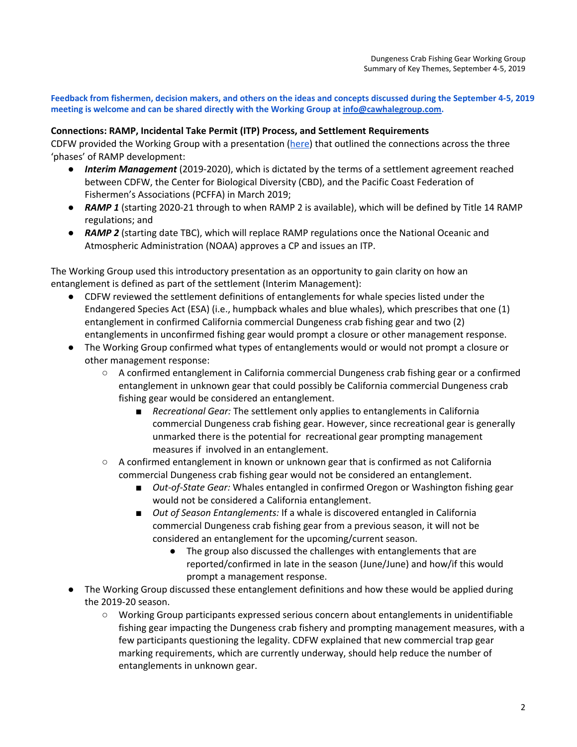Feedback from fishermen, decision makers, and others on the ideas and concepts discussed during the September 4-5, 2019 **meeting is welcome and can be shared directly with the Working Group at [info@cawhalegroup.com.](mailto:info@cawhalegroup.com)**

#### **Connections: RAMP, Incidental Take Permit (ITP) Process, and Settlement Requirements**

CDFW provided the Working Group with a presentation ([here](http://www.opc.ca.gov/webmaster/_media_library/2009/04/DCTF_Settlement_CP_overview_Oct2019.pdf)) that outlined the connections across the three 'phases' of RAMP development:

- *Interim Management* (2019-2020), which is dictated by the terms of a settlement agreement reached between CDFW, the Center for Biological Diversity (CBD), and the Pacific Coast Federation of Fishermen's Associations (PCFFA) in March 2019;
- *● RAMP 1* (starting 2020-21 through to when RAMP 2 is available), which will be defined by Title 14 RAMP regulations; and
- *● RAMP 2* (starting date TBC), which will replace RAMP regulations once the National Oceanic and Atmospheric Administration (NOAA) approves a CP and issues an ITP.

The Working Group used this introductory presentation as an opportunity to gain clarity on how an entanglement is defined as part of the settlement (Interim Management):

- *●* CDFW reviewed the settlement definitions of entanglements for whale species listed under the Endangered Species Act (ESA) (i.e., humpback whales and blue whales), which prescribes that one (1) entanglement in confirmed California commercial Dungeness crab fishing gear and two (2) entanglements in unconfirmed fishing gear would prompt a closure or other management response.
- *●* The Working Group confirmed what types of entanglements would or would not prompt a closure or other management response:
	- *○* A confirmed entanglement in California commercial Dungeness crab fishing gear or a confirmed entanglement in unknown gear that could possibly be California commercial Dungeness crab fishing gear would be considered an entanglement.
		- *Recreational Gear:* The settlement only applies to entanglements in California commercial Dungeness crab fishing gear. However, since recreational gear is generally unmarked there is the potential for recreational gear prompting management measures if involved in an entanglement.
	- *○* A confirmed entanglement in known or unknown gear that is confirmed as not California commercial Dungeness crab fishing gear would not be considered an entanglement.
		- *Out-of-State Gear:* Whales entangled in confirmed Oregon or Washington fishing gear would not be considered a California entanglement.
		- *Out of Season Entanglements:* If a whale is discovered entangled in California commercial Dungeness crab fishing gear from a previous season, it will not be considered an entanglement for the upcoming/current season.
			- The group also discussed the challenges with entanglements that are reported/confirmed in late in the season (June/June) and how/if this would prompt a management response.
- The Working Group discussed these entanglement definitions and how these would be applied during the 2019-20 season.
	- Working Group participants expressed serious concern about entanglements in unidentifiable fishing gear impacting the Dungeness crab fishery and prompting management measures, with a few participants questioning the legality. CDFW explained that new commercial trap gear marking requirements, which are currently underway, should help reduce the number of entanglements in unknown gear.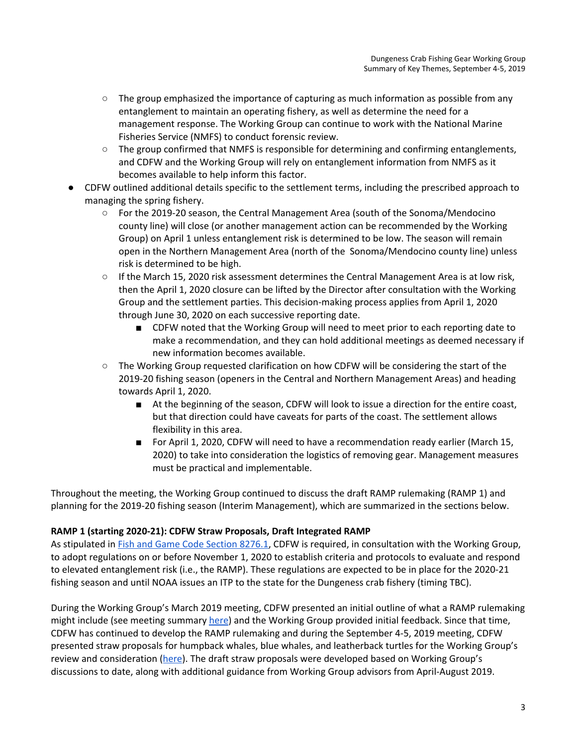- The group emphasized the importance of capturing as much information as possible from any entanglement to maintain an operating fishery, as well as determine the need for a management response. The Working Group can continue to work with the National Marine Fisheries Service (NMFS) to conduct forensic review.
- The group confirmed that NMFS is responsible for determining and confirming entanglements, and CDFW and the Working Group will rely on entanglement information from NMFS as it becomes available to help inform this factor.
- *●* CDFW outlined additional details specific to the settlement terms, including the prescribed approach to managing the spring fishery.
	- *○* For the 2019-20 season, the Central Management Area (south of the Sonoma/Mendocino county line) will close (or another management action can be recommended by the Working Group) on April 1 unless entanglement risk is determined to be low. The season will remain open in the Northern Management Area (north of the Sonoma/Mendocino county line) unless risk is determined to be high.
	- If the March 15, 2020 risk assessment determines the Central Management Area is at low risk, then the April 1, 2020 closure can be lifted by the Director after consultation with the Working Group and the settlement parties. This decision-making process applies from April 1, 2020 through June 30, 2020 on each successive reporting date.
		- CDFW noted that the Working Group will need to meet prior to each reporting date to make a recommendation, and they can hold additional meetings as deemed necessary if new information becomes available.
	- The Working Group requested clarification on how CDFW will be considering the start of the 2019-20 fishing season (openers in the Central and Northern Management Areas) and heading towards April 1, 2020.
		- At the beginning of the season, CDFW will look to issue a direction for the entire coast, but that direction could have caveats for parts of the coast. The settlement allows flexibility in this area.
		- For April 1, 2020, CDFW will need to have a recommendation ready earlier (March 15, 2020) to take into consideration the logistics of removing gear. Management measures must be practical and implementable.

Throughout the meeting, the Working Group continued to discuss the draft RAMP rulemaking (RAMP 1) and planning for the 2019-20 fishing season (Interim Management), which are summarized in the sections below.

## **RAMP 1 (starting 2020-21): CDFW Straw Proposals, Draft Integrated RAMP**

As stipulated in **Fish and Game Code [Section](http://leginfo.legislature.ca.gov/faces/codes_displaySection.xhtml?lawCode=FGC§ionNum=8276.1.) 8276.1**, CDFW is required, in consultation with the Working Group, to adopt regulations on or before November 1, 2020 to establish criteria and protocols to evaluate and respond to elevated entanglement risk (i.e., the RAMP). These regulations are expected to be in place for the 2020-21 fishing season and until NOAA issues an ITP to the state for the Dungeness crab fishery (timing TBC).

During the Working Group's March 2019 meeting, CDFW presented an initial outline of what a RAMP rulemaking might include (see meeting summary [here](http://www.opc.ca.gov/webmaster/_media_library/2019/04/CAWhaleWorkingGroup_KeyThemesSummary_26March2019Meeting_FINAL.pdf)) and the Working Group provided initial feedback. Since that time, CDFW has continued to develop the RAMP rulemaking and during the September 4-5, 2019 meeting, CDFW presented straw proposals for humpback whales, blue whales, and leatherback turtles for the Working Group's review and consideration ([here\)](https://drive.google.com/file/d/1RMkMS_1C6-swRbtp6nqxCnWCR5TgQAXe/view?usp=sharing). The draft straw proposals were developed based on Working Group's discussions to date, along with additional guidance from Working Group advisors from April-August 2019.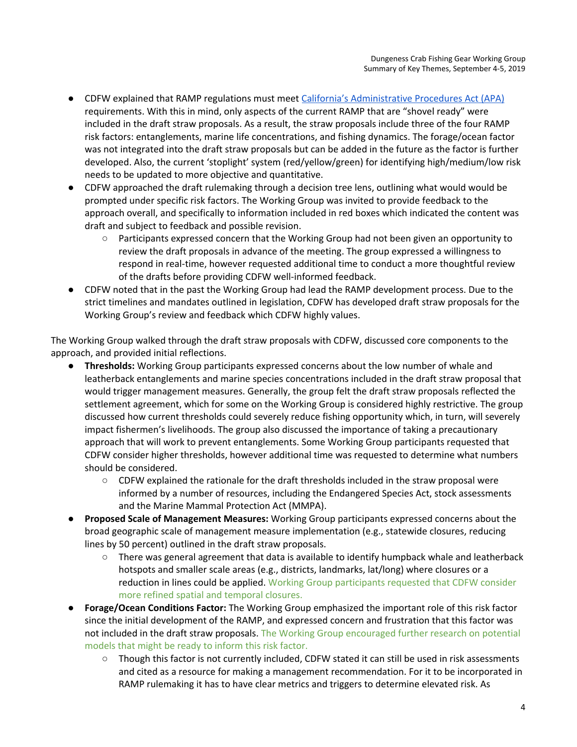- CDFW explained that RAMP regulations must meet California's [Administrative](https://oal.ca.gov/rulemaking_process/) Procedures Act (APA) requirements. With this in mind, only aspects of the current RAMP that are "shovel ready" were included in the draft straw proposals. As a result, the straw proposals include three of the four RAMP risk factors: entanglements, marine life concentrations, and fishing dynamics. The forage/ocean factor was not integrated into the draft straw proposals but can be added in the future as the factor is further developed. Also, the current 'stoplight' system (red/yellow/green) for identifying high/medium/low risk needs to be updated to more objective and quantitative.
- CDFW approached the draft rulemaking through a decision tree lens, outlining what would would be prompted under specific risk factors. The Working Group was invited to provide feedback to the approach overall, and specifically to information included in red boxes which indicated the content was draft and subject to feedback and possible revision.
	- Participants expressed concern that the Working Group had not been given an opportunity to review the draft proposals in advance of the meeting. The group expressed a willingness to respond in real-time, however requested additional time to conduct a more thoughtful review of the drafts before providing CDFW well-informed feedback.
- CDFW noted that in the past the Working Group had lead the RAMP development process. Due to the strict timelines and mandates outlined in legislation, CDFW has developed draft straw proposals for the Working Group's review and feedback which CDFW highly values.

The Working Group walked through the draft straw proposals with CDFW, discussed core components to the approach, and provided initial reflections.

- **Thresholds:** Working Group participants expressed concerns about the low number of whale and leatherback entanglements and marine species concentrations included in the draft straw proposal that would trigger management measures. Generally, the group felt the draft straw proposals reflected the settlement agreement, which for some on the Working Group is considered highly restrictive. The group discussed how current thresholds could severely reduce fishing opportunity which, in turn, will severely impact fishermen's livelihoods. The group also discussed the importance of taking a precautionary approach that will work to prevent entanglements. Some Working Group participants requested that CDFW consider higher thresholds, however additional time was requested to determine what numbers should be considered.
	- $\circ$  CDFW explained the rationale for the draft thresholds included in the straw proposal were informed by a number of resources, including the Endangered Species Act, stock assessments and the Marine Mammal Protection Act (MMPA).
- **Proposed Scale of Management Measures:** Working Group participants expressed concerns about the broad geographic scale of management measure implementation (e.g., statewide closures, reducing lines by 50 percent) outlined in the draft straw proposals.
	- $\circ$  There was general agreement that data is available to identify humpback whale and leatherback hotspots and smaller scale areas (e.g., districts, landmarks, lat/long) where closures or a reduction in lines could be applied. Working Group participants requested that CDFW consider more refined spatial and temporal closures.
- **Forage/Ocean Conditions Factor:** The Working Group emphasized the important role of this risk factor since the initial development of the RAMP, and expressed concern and frustration that this factor was not included in the draft straw proposals. The Working Group encouraged further research on potential models that might be ready to inform this risk factor.
	- Though this factor is not currently included, CDFW stated it can still be used in risk assessments and cited as a resource for making a management recommendation. For it to be incorporated in RAMP rulemaking it has to have clear metrics and triggers to determine elevated risk. As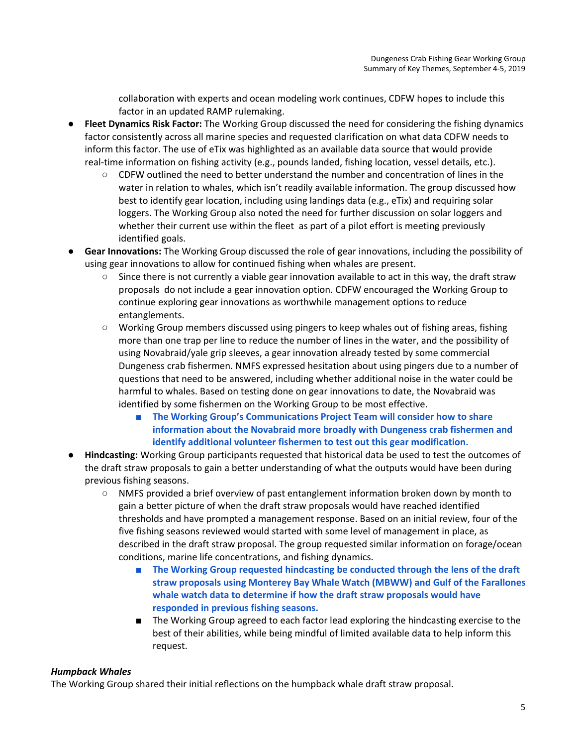collaboration with experts and ocean modeling work continues, CDFW hopes to include this factor in an updated RAMP rulemaking.

- **Fleet Dynamics Risk Factor:** The Working Group discussed the need for considering the fishing dynamics factor consistently across all marine species and requested clarification on what data CDFW needs to inform this factor. The use of eTix was highlighted as an available data source that would provide real-time information on fishing activity (e.g., pounds landed, fishing location, vessel details, etc.).
	- CDFW outlined the need to better understand the number and concentration of lines in the water in relation to whales, which isn't readily available information. The group discussed how best to identify gear location, including using landings data (e.g., eTix) and requiring solar loggers. The Working Group also noted the need for further discussion on solar loggers and whether their current use within the fleet as part of a pilot effort is meeting previously identified goals.
- **Gear Innovations:** The Working Group discussed the role of gear innovations, including the possibility of using gear innovations to allow for continued fishing when whales are present.
	- Since there is not currently a viable gear innovation available to act in this way, the draft straw proposals do not include a gear innovation option. CDFW encouraged the Working Group to continue exploring gear innovations as worthwhile management options to reduce entanglements.
	- Working Group members discussed using pingers to keep whales out of fishing areas, fishing more than one trap per line to reduce the number of lines in the water, and the possibility of using Novabraid/yale grip sleeves, a gear innovation already tested by some commercial Dungeness crab fishermen. NMFS expressed hesitation about using pingers due to a number of questions that need to be answered, including whether additional noise in the water could be harmful to whales. Based on testing done on gear innovations to date, the Novabraid was identified by some fishermen on the Working Group to be most effective.
		- **The Working Group's Communications Project Team will consider how to share information about the Novabraid more broadly with Dungeness crab fishermen and identify additional volunteer fishermen to test out this gear modification.**
- **Hindcasting:** Working Group participants requested that historical data be used to test the outcomes of the draft straw proposals to gain a better understanding of what the outputs would have been during previous fishing seasons.
	- NMFS provided a brief overview of past entanglement information broken down by month to gain a better picture of when the draft straw proposals would have reached identified thresholds and have prompted a management response. Based on an initial review, four of the five fishing seasons reviewed would started with some level of management in place, as described in the draft straw proposal. The group requested similar information on forage/ocean conditions, marine life concentrations, and fishing dynamics.
		- **The Working Group requested hindcasting be conducted through the lens of the draft straw proposals using Monterey Bay Whale Watch (MBWW) and Gulf of the Farallones whale watch data to determine if how the draft straw proposals would have responded in previous fishing seasons.**
		- The Working Group agreed to each factor lead exploring the hindcasting exercise to the best of their abilities, while being mindful of limited available data to help inform this request.

#### *Humpback Whales*

The Working Group shared their initial reflections on the humpback whale draft straw proposal.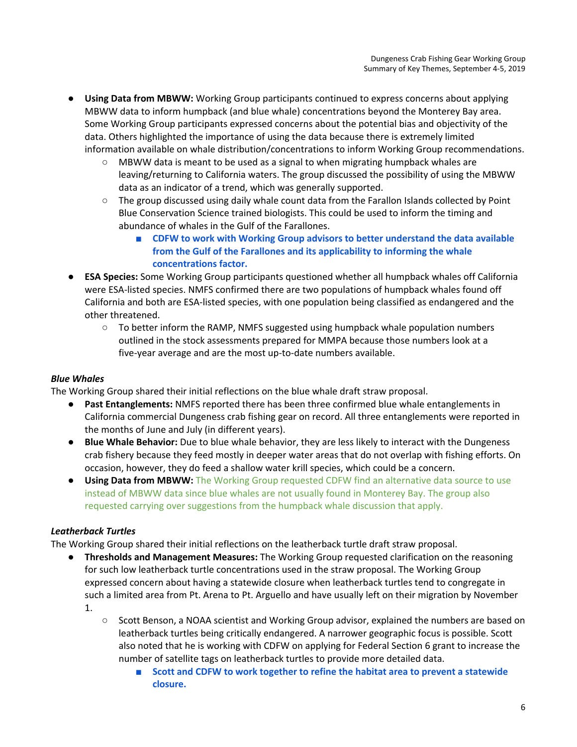- **Using Data from MBWW:** Working Group participants continued to express concerns about applying MBWW data to inform humpback (and blue whale) concentrations beyond the Monterey Bay area. Some Working Group participants expressed concerns about the potential bias and objectivity of the data. Others highlighted the importance of using the data because there is extremely limited information available on whale distribution/concentrations to inform Working Group recommendations.
	- $\circ$  MBWW data is meant to be used as a signal to when migrating humpback whales are leaving/returning to California waters. The group discussed the possibility of using the MBWW data as an indicator of a trend, which was generally supported.
	- The group discussed using daily whale count data from the Farallon Islands collected by Point Blue Conservation Science trained biologists. This could be used to inform the timing and abundance of whales in the Gulf of the Farallones.
		- **CDFW to work with Working Group advisors to better understand the data available from the Gulf of the Farallones and its applicability to informing the whale concentrations factor.**
- **ESA Species:** Some Working Group participants questioned whether all humpback whales off California were ESA-listed species. NMFS confirmed there are two populations of humpback whales found off California and both are ESA-listed species, with one population being classified as endangered and the other threatened.
	- $\circ$  To better inform the RAMP, NMFS suggested using humpback whale population numbers outlined in the stock assessments prepared for MMPA because those numbers look at a five-year average and are the most up-to-date numbers available.

## *Blue Whales*

The Working Group shared their initial reflections on the blue whale draft straw proposal.

- **Past Entanglements:** NMFS reported there has been three confirmed blue whale entanglements in California commercial Dungeness crab fishing gear on record. All three entanglements were reported in the months of June and July (in different years).
- **Blue Whale Behavior:** Due to blue whale behavior, they are less likely to interact with the Dungeness crab fishery because they feed mostly in deeper water areas that do not overlap with fishing efforts. On occasion, however, they do feed a shallow water krill species, which could be a concern.
- **Using Data from MBWW:** The Working Group requested CDFW find an alternative data source to use instead of MBWW data since blue whales are not usually found in Monterey Bay. The group also requested carrying over suggestions from the humpback whale discussion that apply.

## *Leatherback Turtles*

The Working Group shared their initial reflections on the leatherback turtle draft straw proposal.

- **Thresholds and Management Measures:** The Working Group requested clarification on the reasoning for such low leatherback turtle concentrations used in the straw proposal. The Working Group expressed concern about having a statewide closure when leatherback turtles tend to congregate in such a limited area from Pt. Arena to Pt. Arguello and have usually left on their migration by November 1.
	- Scott Benson, a NOAA scientist and Working Group advisor, explained the numbers are based on leatherback turtles being critically endangered. A narrower geographic focus is possible. Scott also noted that he is working with CDFW on applying for Federal Section 6 grant to increase the number of satellite tags on leatherback turtles to provide more detailed data.
		- **Scott and CDFW to work together to refine the habitat area to prevent a statewide closure.**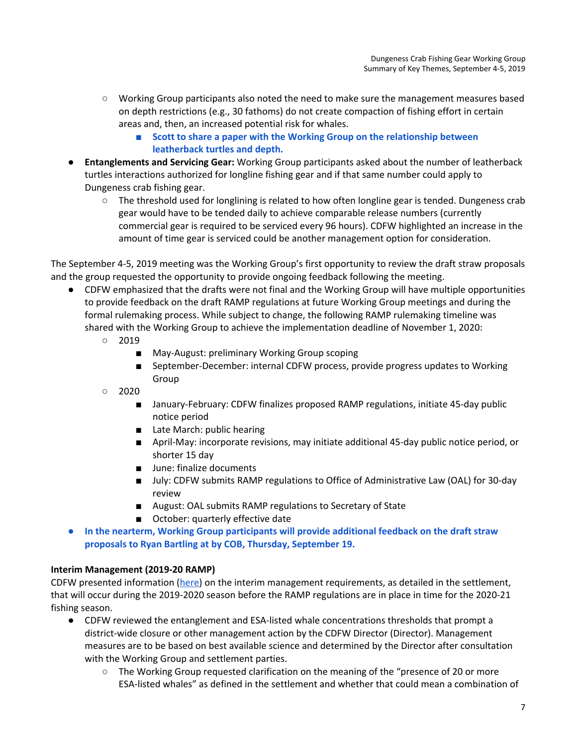- Working Group participants also noted the need to make sure the management measures based on depth restrictions (e.g., 30 fathoms) do not create compaction of fishing effort in certain areas and, then, an increased potential risk for whales.
	- **■ Scott to share a paper with the Working Group on the relationship between leatherback turtles and depth.**
- **Entanglements and Servicing Gear:** Working Group participants asked about the number of leatherback turtles interactions authorized for longline fishing gear and if that same number could apply to Dungeness crab fishing gear.
	- The threshold used for longlining is related to how often longline gear is tended. Dungeness crab gear would have to be tended daily to achieve comparable release numbers (currently commercial gear is required to be serviced every 96 hours). CDFW highlighted an increase in the amount of time gear is serviced could be another management option for consideration.

The September 4-5, 2019 meeting was the Working Group's first opportunity to review the draft straw proposals and the group requested the opportunity to provide ongoing feedback following the meeting.

- **●** CDFW emphasized that the drafts were not final and the Working Group will have multiple opportunities to provide feedback on the draft RAMP regulations at future Working Group meetings and during the formal rulemaking process. While subject to change, the following RAMP rulemaking timeline was shared with the Working Group to achieve the implementation deadline of November 1, 2020:
	- 2019
		- May-August: preliminary Working Group scoping
		- September-December: internal CDFW process, provide progress updates to Working Group
	- $\circ$  2020
		- January-February: CDFW finalizes proposed RAMP regulations, initiate 45-day public notice period
		- Late March: public hearing
		- April-May: incorporate revisions, may initiate additional 45-day public notice period, or shorter 15 day
		- June: finalize documents
		- July: CDFW submits RAMP regulations to Office of Administrative Law (OAL) for 30-day review
		- August: OAL submits RAMP regulations to Secretary of State
		- October: quarterly effective date
- **● In the nearterm, Working Group participants will provide additional feedback on the draft straw proposals to Ryan Bartling at by COB, Thursday, September 19.**

#### **Interim Management (2019-20 RAMP)**

CDFW presented information ([here\)](https://drive.google.com/file/d/1m38aVHYbExRYFMZxvzBEl3Wded2FiQhl/view?usp=sharing) on the interim management requirements, as detailed in the settlement, that will occur during the 2019-2020 season before the RAMP regulations are in place in time for the 2020-21 fishing season.

- CDFW reviewed the entanglement and ESA-listed whale concentrations thresholds that prompt a district-wide closure or other management action by the CDFW Director (Director). Management measures are to be based on best available science and determined by the Director after consultation with the Working Group and settlement parties.
	- The Working Group requested clarification on the meaning of the "presence of 20 or more ESA-listed whales" as defined in the settlement and whether that could mean a combination of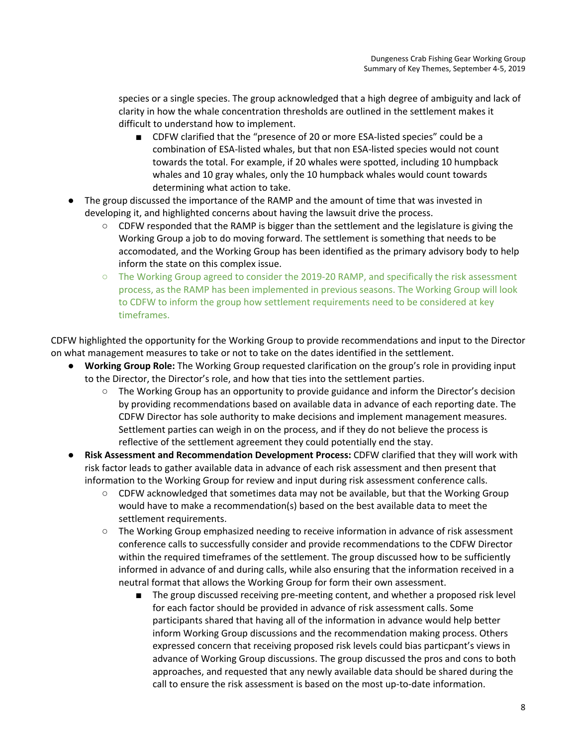species or a single species. The group acknowledged that a high degree of ambiguity and lack of clarity in how the whale concentration thresholds are outlined in the settlement makes it difficult to understand how to implement.

- CDFW clarified that the "presence of 20 or more ESA-listed species" could be a combination of ESA-listed whales, but that non ESA-listed species would not count towards the total. For example, if 20 whales were spotted, including 10 humpback whales and 10 gray whales, only the 10 humpback whales would count towards determining what action to take.
- The group discussed the importance of the RAMP and the amount of time that was invested in developing it, and highlighted concerns about having the lawsuit drive the process.
	- $\circ$  CDFW responded that the RAMP is bigger than the settlement and the legislature is giving the Working Group a job to do moving forward. The settlement is something that needs to be accomodated, and the Working Group has been identified as the primary advisory body to help inform the state on this complex issue.
	- The Working Group agreed to consider the 2019-20 RAMP, and specifically the risk assessment process, as the RAMP has been implemented in previous seasons. The Working Group will look to CDFW to inform the group how settlement requirements need to be considered at key timeframes.

CDFW highlighted the opportunity for the Working Group to provide recommendations and input to the Director on what management measures to take or not to take on the dates identified in the settlement.

- **Working Group Role:** The Working Group requested clarification on the group's role in providing input to the Director, the Director's role, and how that ties into the settlement parties.
	- The Working Group has an opportunity to provide guidance and inform the Director's decision by providing recommendations based on available data in advance of each reporting date. The CDFW Director has sole authority to make decisions and implement management measures. Settlement parties can weigh in on the process, and if they do not believe the process is reflective of the settlement agreement they could potentially end the stay.
- **Risk Assessment and Recommendation Development Process:** CDFW clarified that they will work with risk factor leads to gather available data in advance of each risk assessment and then present that information to the Working Group for review and input during risk assessment conference calls.
	- CDFW acknowledged that sometimes data may not be available, but that the Working Group would have to make a recommendation(s) based on the best available data to meet the settlement requirements.
	- The Working Group emphasized needing to receive information in advance of risk assessment conference calls to successfully consider and provide recommendations to the CDFW Director within the required timeframes of the settlement. The group discussed how to be sufficiently informed in advance of and during calls, while also ensuring that the information received in a neutral format that allows the Working Group for form their own assessment.
		- The group discussed receiving pre-meeting content, and whether a proposed risk level for each factor should be provided in advance of risk assessment calls. Some participants shared that having all of the information in advance would help better inform Working Group discussions and the recommendation making process. Others expressed concern that receiving proposed risk levels could bias particpant's views in advance of Working Group discussions. The group discussed the pros and cons to both approaches, and requested that any newly available data should be shared during the call to ensure the risk assessment is based on the most up-to-date information.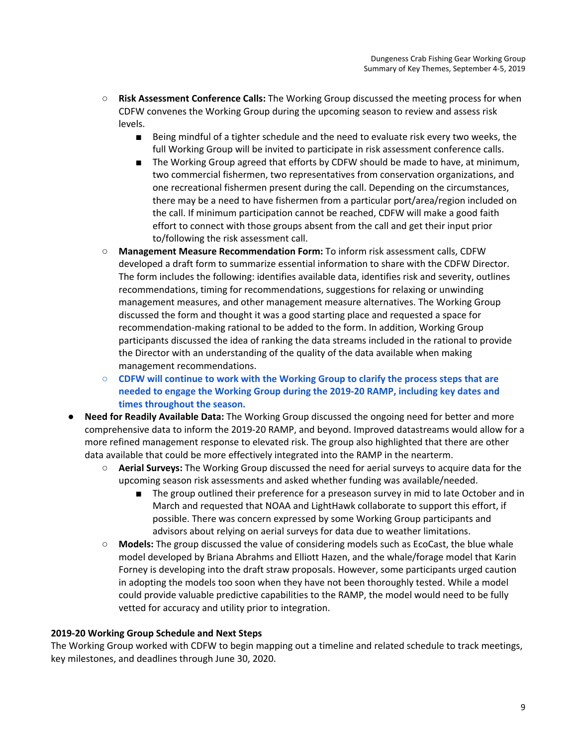- **Risk Assessment Conference Calls:** The Working Group discussed the meeting process for when CDFW convenes the Working Group during the upcoming season to review and assess risk levels.
	- Being mindful of a tighter schedule and the need to evaluate risk every two weeks, the full Working Group will be invited to participate in risk assessment conference calls.
	- The Working Group agreed that efforts by CDFW should be made to have, at minimum, two commercial fishermen, two representatives from conservation organizations, and one recreational fishermen present during the call. Depending on the circumstances, there may be a need to have fishermen from a particular port/area/region included on the call. If minimum participation cannot be reached, CDFW will make a good faith effort to connect with those groups absent from the call and get their input prior to/following the risk assessment call.
- **Management Measure Recommendation Form:** To inform risk assessment calls, CDFW developed a draft form to summarize essential information to share with the CDFW Director. The form includes the following: identifies available data, identifies risk and severity, outlines recommendations, timing for recommendations, suggestions for relaxing or unwinding management measures, and other management measure alternatives. The Working Group discussed the form and thought it was a good starting place and requested a space for recommendation-making rational to be added to the form. In addition, Working Group participants discussed the idea of ranking the data streams included in the rational to provide the Director with an understanding of the quality of the data available when making management recommendations.
- **CDFW will continue to work with the Working Group to clarify the process steps that are needed to engage the Working Group during the 2019-20 RAMP, including key dates and times throughout the season.**
- **● Need for Readily Available Data:** The Working Group discussed the ongoing need for better and more comprehensive data to inform the 2019-20 RAMP, and beyond. Improved datastreams would allow for a more refined management response to elevated risk. The group also highlighted that there are other data available that could be more effectively integrated into the RAMP in the nearterm.
	- **Aerial Surveys:** The Working Group discussed the need for aerial surveys to acquire data for the upcoming season risk assessments and asked whether funding was available/needed.
		- The group outlined their preference for a preseason survey in mid to late October and in March and requested that NOAA and LightHawk collaborate to support this effort, if possible. There was concern expressed by some Working Group participants and advisors about relying on aerial surveys for data due to weather limitations.
	- **Models:** The group discussed the value of considering models such as EcoCast, the blue whale model developed by Briana Abrahms and Elliott Hazen, and the whale/forage model that Karin Forney is developing into the draft straw proposals. However, some participants urged caution in adopting the models too soon when they have not been thoroughly tested. While a model could provide valuable predictive capabilities to the RAMP, the model would need to be fully vetted for accuracy and utility prior to integration.

## **2019-20 Working Group Schedule and Next Steps**

The Working Group worked with CDFW to begin mapping out a timeline and related schedule to track meetings, key milestones, and deadlines through June 30, 2020.